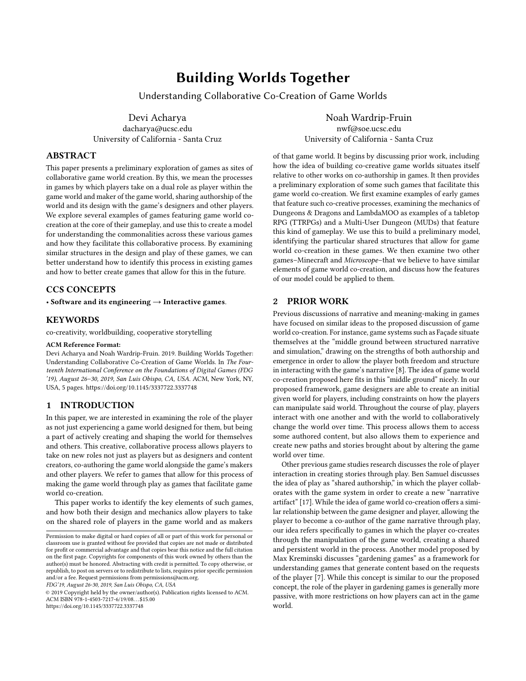# Building Worlds Together

Understanding Collaborative Co-Creation of Game Worlds

Devi Acharya dacharya@ucsc.edu University of California - Santa Cruz

# ABSTRACT

This paper presents a preliminary exploration of games as sites of collaborative game world creation. By this, we mean the processes in games by which players take on a dual role as player within the game world and maker of the game world, sharing authorship of the world and its design with the game's designers and other players. We explore several examples of games featuring game world cocreation at the core of their gameplay, and use this to create a model for understanding the commonalities across these various games and how they facilitate this collaborative process. By examining similar structures in the design and play of these games, we can better understand how to identify this process in existing games and how to better create games that allow for this in the future.

## CCS CONCEPTS

• Software and its engineering  $\rightarrow$  Interactive games.

#### KEYWORDS

co-creativity, worldbuilding, cooperative storytelling

#### ACM Reference Format:

Devi Acharya and Noah Wardrip-Fruin. 2019. Building Worlds Together: Understanding Collaborative Co-Creation of Game Worlds. In The Fourteenth International Conference on the Foundations of Digital Games (FDG '19), August 26–30, 2019, San Luis Obispo, CA, USA. ACM, New York, NY, USA, [5](#page-4-0) pages.<https://doi.org/10.1145/3337722.3337748>

## 1 INTRODUCTION

In this paper, we are interested in examining the role of the player as not just experiencing a game world designed for them, but being a part of actively creating and shaping the world for themselves and others. This creative, collaborative process allows players to take on new roles not just as players but as designers and content creators, co-authoring the game world alongside the game's makers and other players. We refer to games that allow for this process of making the game world through play as games that facilitate game world co-creation.

This paper works to identify the key elements of such games, and how both their design and mechanics allow players to take on the shared role of players in the game world and as makers

FDG'19, August 26-30, 2019, San Luis Obispo, CA, USA

© 2019 Copyright held by the owner/author(s). Publication rights licensed to ACM. ACM ISBN 978-1-4503-7217-6/19/08. . . \$15.00 <https://doi.org/10.1145/3337722.3337748>

Noah Wardrip-Fruin nwf@soe.ucsc.edu University of California - Santa Cruz

of that game world. It begins by discussing prior work, including how the idea of building co-creative game worlds situates itself relative to other works on co-authorship in games. It then provides a preliminary exploration of some such games that facilitate this game world co-creation. We first examine examples of early games that feature such co-creative processes, examining the mechanics of Dungeons & Dragons and LambdaMOO as examples of a tabletop RPG (TTRPGs) and a Multi-User Dungeon (MUDs) that feature this kind of gameplay. We use this to build a preliminary model, identifying the particular shared structures that allow for game world co-creation in these games. We then examine two other games–Minecraft and Microscope–that we believe to have similar elements of game world co-creation, and discuss how the features of our model could be applied to them.

## 2 PRIOR WORK

Previous discussions of narrative and meaning-making in games have focused on similar ideas to the proposed discussion of game world co-creation. For instance, game systems such as Façade situate themselves at the "middle ground between structured narrative and simulation," drawing on the strengths of both authorship and emergence in order to allow the player both freedom and structure in interacting with the game's narrative [\[8\]](#page-4-1). The idea of game world co-creation proposed here fits in this "middle ground" nicely. In our proposed framework, game designers are able to create an initial given world for players, including constraints on how the players can manipulate said world. Throughout the course of play, players interact with one another and with the world to collaboratively change the world over time. This process allows them to access some authored content, but also allows them to experience and create new paths and stories brought about by altering the game world over time.

Other previous game studies research discusses the role of player interaction in creating stories through play. Ben Samuel discusses the idea of play as "shared authorship," in which the player collaborates with the game system in order to create a new "narrative artifact" [\[17\]](#page-4-2). While the idea of game world co-creation offers a similar relationship between the game designer and player, allowing the player to become a co-author of the game narrative through play, our idea refers specifically to games in which the player co-creates through the manipulation of the game world, creating a shared and persistent world in the process. Another model proposed by Max Kreminski discusses "gardening games" as a framework for understanding games that generate content based on the requests of the player [\[7\]](#page-4-3). While this concept is similar to our the proposed concept, the role of the player in gardening games is generally more passive, with more restrictions on how players can act in the game world.

Permission to make digital or hard copies of all or part of this work for personal or classroom use is granted without fee provided that copies are not made or distributed for profit or commercial advantage and that copies bear this notice and the full citation on the first page. Copyrights for components of this work owned by others than the author(s) must be honored. Abstracting with credit is permitted. To copy otherwise, or republish, to post on servers or to redistribute to lists, requires prior specific permission and/or a fee. Request permissions from permissions@acm.org.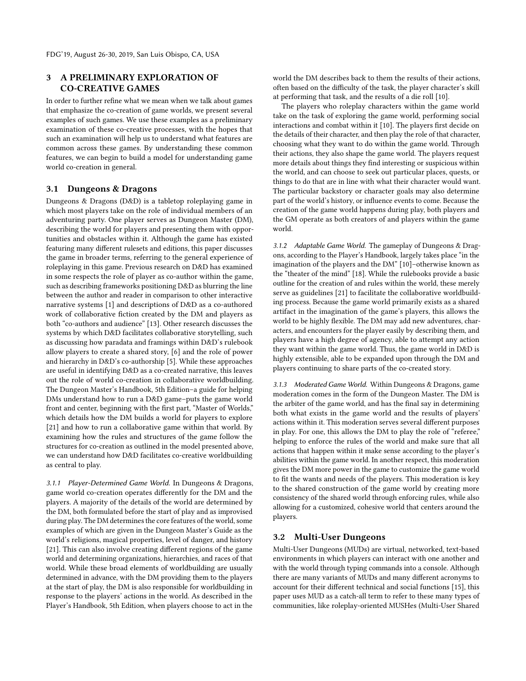# 3 A PRELIMINARY EXPLORATION OF CO-CREATIVE GAMES

In order to further refine what we mean when we talk about games that emphasize the co-creation of game worlds, we present several examples of such games. We use these examples as a preliminary examination of these co-creative processes, with the hopes that such an examination will help us to understand what features are common across these games. By understanding these common features, we can begin to build a model for understanding game world co-creation in general.

# 3.1 Dungeons & Dragons

Dungeons & Dragons (D&D) is a tabletop roleplaying game in which most players take on the role of individual members of an adventuring party. One player serves as Dungeon Master (DM), describing the world for players and presenting them with opportunities and obstacles within it. Although the game has existed featuring many different rulesets and editions, this paper discusses the game in broader terms, referring to the general experience of roleplaying in this game. Previous research on D&D has examined in some respects the role of player as co-author within the game, such as describing frameworks positioning D&D as blurring the line between the author and reader in comparison to other interactive narrative systems [\[1\]](#page-4-4) and descriptions of D&D as a co-authored work of collaborative fiction created by the DM and players as both "co-authors and audience" [\[13\]](#page-4-5). Other research discusses the systems by which D&D facilitates collaborative storytelling, such as discussing how paradata and framings within D&D's rulebook allow players to create a shared story, [\[6\]](#page-4-6) and the role of power and hierarchy in D&D's co-authorship [\[5\]](#page-4-7). While these approaches are useful in identifying D&D as a co-created narrative, this leaves out the role of world co-creation in collaborative worldbuilding. The Dungeon Master's Handbook, 5th Edition–a guide for helping DMs understand how to run a D&D game–puts the game world front and center, beginning with the first part, "Master of Worlds," which details how the DM builds a world for players to explore [\[21\]](#page-4-8) and how to run a collaborative game within that world. By examining how the rules and structures of the game follow the structures for co-creation as outlined in the model presented above, we can understand how D&D facilitates co-creative worldbuilding as central to play.

3.1.1 Player-Determined Game World. In Dungeons & Dragons, game world co-creation operates differently for the DM and the players. A majority of the details of the world are determined by the DM, both formulated before the start of play and as improvised during play. The DM determines the core features of the world, some examples of which are given in the Dungeon Master's Guide as the world's religions, magical properties, level of danger, and history [\[21\]](#page-4-8). This can also involve creating different regions of the game world and determining organizations, hierarchies, and races of that world. While these broad elements of worldbuilding are usually determined in advance, with the DM providing them to the players at the start of play, the DM is also responsible for worldbuilding in response to the players' actions in the world. As described in the Player's Handbook, 5th Edition, when players choose to act in the

world the DM describes back to them the results of their actions, often based on the difficulty of the task, the player character's skill at performing that task, and the results of a die roll [\[10\]](#page-4-9).

The players who roleplay characters within the game world take on the task of exploring the game world, performing social interactions and combat within it [\[10\]](#page-4-9). The players first decide on the details of their character, and then play the role of that character, choosing what they want to do within the game world. Through their actions, they also shape the game world. The players request more details about things they find interesting or suspicious within the world, and can choose to seek out particular places, quests, or things to do that are in line with what their character would want. The particular backstory or character goals may also determine part of the world's history, or influence events to come. Because the creation of the game world happens during play, both players and the GM operate as both creators of and players within the game world.

3.1.2 Adaptable Game World. The gameplay of Dungeons & Dragons, according to the Player's Handbook, largely takes place "in the imagination of the players and the DM" [\[10\]](#page-4-9)–otherwise known as the "theater of the mind" [\[18\]](#page-4-10). While the rulebooks provide a basic outline for the creation of and rules within the world, these merely serve as guidelines [\[21\]](#page-4-8) to facilitate the collaborative worldbuilding process. Because the game world primarily exists as a shared artifact in the imagination of the game's players, this allows the world to be highly flexible. The DM may add new adventures, characters, and encounters for the player easily by describing them, and players have a high degree of agency, able to attempt any action they want within the game world. Thus, the game world in D&D is highly extensible, able to be expanded upon through the DM and players continuing to share parts of the co-created story.

3.1.3 Moderated Game World. Within Dungeons & Dragons, game moderation comes in the form of the Dungeon Master. The DM is the arbiter of the game world, and has the final say in determining both what exists in the game world and the results of players' actions within it. This moderation serves several different purposes in play. For one, this allows the DM to play the role of "referee," helping to enforce the rules of the world and make sure that all actions that happen within it make sense according to the player's abilities within the game world. In another respect, this moderation gives the DM more power in the game to customize the game world to fit the wants and needs of the players. This moderation is key to the shared construction of the game world by creating more consistency of the shared world through enforcing rules, while also allowing for a customized, cohesive world that centers around the players.

#### 3.2 Multi-User Dungeons

Multi-User Dungeons (MUDs) are virtual, networked, text-based environments in which players can interact with one another and with the world through typing commands into a console. Although there are many variants of MUDs and many different acronyms to account for their different technical and social functions [\[15\]](#page-4-11), this paper uses MUD as a catch-all term to refer to these many types of communities, like roleplay-oriented MUSHes (Multi-User Shared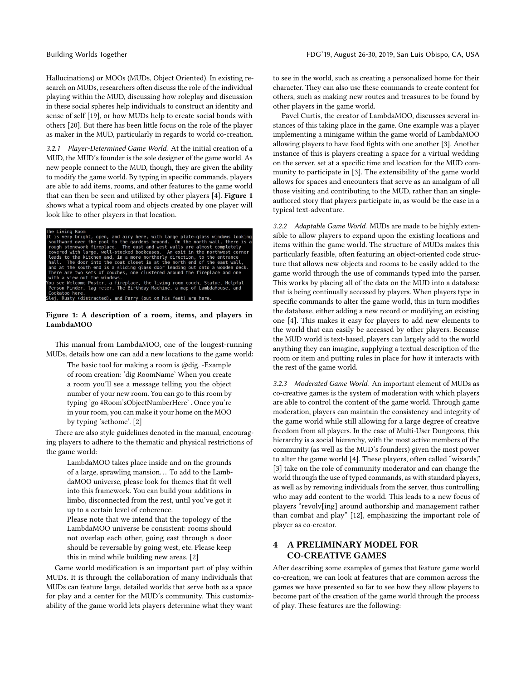Hallucinations) or MOOs (MUDs, Object Oriented). In existing research on MUDs, researchers often discuss the role of the individual playing within the MUD, discussing how roleplay and discussion in these social spheres help individuals to construct an identity and sense of self [\[19\]](#page-4-12), or how MUDs help to create social bonds with others [\[20\]](#page-4-13). But there has been little focus on the role of the player as maker in the MUD, particularly in regards to world co-creation.

3.2.1 Player-Determined Game World. At the initial creation of a MUD, the MUD's founder is the sole designer of the game world. As new people connect to the MUD, though, they are given the ability to modify the game world. By typing in specific commands, players are able to add items, rooms, and other features to the game world that can then be seen and utilized by other players [\[4\]](#page-4-14). Figure 1 shows what a typical room and objects created by one player will look like to other players in that location.

he Living Room<br>tis very bright, open, and airy here, with large plate-glass windows looking<br>tis very bright, open, and airy here, with large plate-glass windows looking<br>rough stonework fireplace. The east and west walls ar view out the windows. . .... wind.<br>Poster, a fireplace, the living room couch, Statue, Helpful<br>lag meter, The Birthday Machine, a map of LambdaHouse, and Rusty (distracted) and Perry (out on his feet)

## Figure 1: A description of a room, items, and players in LambdaMOO

This manual from LambdaMOO, one of the longest-running MUDs, details how one can add a new locations to the game world:

The basic tool for making a room is @dig. -Example of room creation: 'dig RoomName' When you create a room you'll see a message telling you the object number of your new room. You can go to this room by typing 'go #Room'sObjectNumberHere' . Once you're in your room, you can make it your home on the MOO by typing 'sethome'. [\[2\]](#page-4-15)

There are also style guidelines denoted in the manual, encouraging players to adhere to the thematic and physical restrictions of the game world:

LambdaMOO takes place inside and on the grounds of a large, sprawling mansion. . . To add to the LambdaMOO universe, please look for themes that fit well into this framework. You can build your additions in limbo, disconnected from the rest, until you've got it up to a certain level of coherence.

Please note that we intend that the topology of the LambdaMOO universe be consistent: rooms should not overlap each other, going east through a door should be reversable by going west, etc. Please keep this in mind while building new areas. [\[2\]](#page-4-15)

Game world modification is an important part of play within MUDs. It is through the collaboration of many individuals that MUDs can feature large, detailed worlds that serve both as a space for play and a center for the MUD's community. This customizability of the game world lets players determine what they want

to see in the world, such as creating a personalized home for their character. They can also use these commands to create content for others, such as making new routes and treasures to be found by other players in the game world.

Pavel Curtis, the creator of LambdaMOO, discusses several instances of this taking place in the game. One example was a player implementing a minigame within the game world of LambdaMOO allowing players to have food fights with one another [\[3\]](#page-4-16). Another instance of this is players creating a space for a virtual wedding on the server, set at a specific time and location for the MUD community to participate in [\[3\]](#page-4-16). The extensibility of the game world allows for spaces and encounters that serve as an amalgam of all those visiting and contributing to the MUD, rather than an singleauthored story that players participate in, as would be the case in a typical text-adventure.

3.2.2 Adaptable Game World. MUDs are made to be highly extensible to allow players to expand upon the existing locations and items within the game world. The structure of MUDs makes this particularly feasible, often featuring an object-oriented code structure that allows new objects and rooms to be easily added to the game world through the use of commands typed into the parser. This works by placing all of the data on the MUD into a database that is being continually accessed by players. When players type in specific commands to alter the game world, this in turn modifies the database, either adding a new record or modifying an existing one [\[4\]](#page-4-14). This makes it easy for players to add new elements to the world that can easily be accessed by other players. Because the MUD world is text-based, players can largely add to the world anything they can imagine, supplying a textual description of the room or item and putting rules in place for how it interacts with the rest of the game world.

3.2.3 Moderated Game World. An important element of MUDs as co-creative games is the system of moderation with which players are able to control the content of the game world. Through game moderation, players can maintain the consistency and integrity of the game world while still allowing for a large degree of creative freedom from all players. In the case of Multi-User Dungeons, this hierarchy is a social hierarchy, with the most active members of the community (as well as the MUD's founders) given the most power to alter the game world [\[4\]](#page-4-14). These players, often called "wizards," [\[3\]](#page-4-16) take on the role of community moderator and can change the world through the use of typed commands, as with standard players, as well as by removing individuals from the server, thus controlling who may add content to the world. This leads to a new focus of players "revolv[ing] around authorship and management rather than combat and play" [\[12\]](#page-4-17), emphasizing the important role of player as co-creator.

# 4 A PRELIMINARY MODEL FOR CO-CREATIVE GAMES

After describing some examples of games that feature game world co-creation, we can look at features that are common across the games we have presented so far to see how they allow players to become part of the creation of the game world through the process of play. These features are the following: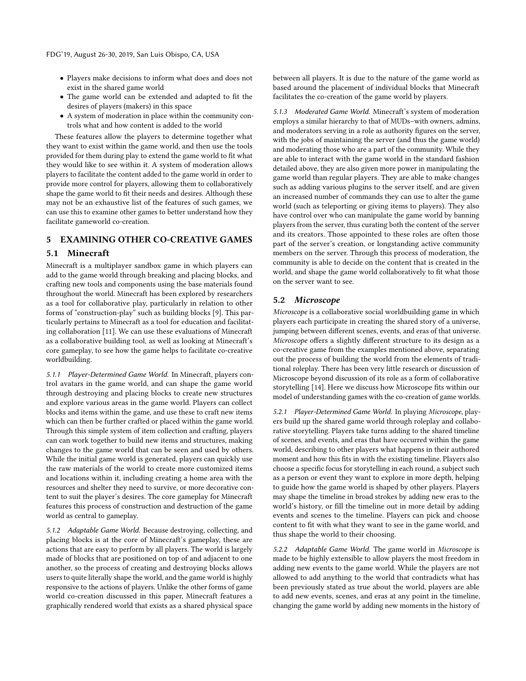- Players make decisions to inform what does and does not exist in the shared game world
- The game world can be extended and adapted to fit the desires of players (makers) in this space
- A system of moderation in place within the community controls what and how content is added to the world

These features allow the players to determine together what they want to exist within the game world, and then use the tools provided for them during play to extend the game world to fit what they would like to see within it. A system of moderation allows players to facilitate the content added to the game world in order to provide more control for players, allowing them to collaboratively shape the game world to fit their needs and desires. Although these may not be an exhaustive list of the features of such games, we can use this to examine other games to better understand how they facilitate gameworld co-creation.

# 5 EXAMINING OTHER CO-CREATIVE GAMES

## 5.1 Minecraft

Minecraft is a multiplayer sandbox game in which players can add to the game world through breaking and placing blocks, and crafting new tools and components using the base materials found throughout the world. Minecraft has been explored by researchers as a tool for collaborative play, particularly in relation to other forms of "construction-play" such as building blocks [\[9\]](#page-4-18). This particularly pertains to Minecraft as a tool for education and facilitating collaboration [\[11\]](#page-4-19). We can use these evaluations of Minecraft as a collaborative building tool, as well as looking at Minecraft's core gameplay, to see how the game helps to facilitate co-creative worldbuilding.

5.1.1 Player-Determined Game World. In Minecraft, players control avatars in the game world, and can shape the game world through destroying and placing blocks to create new structures and explore various areas in the game world. Players can collect blocks and items within the game, and use these to craft new items which can then be further crafted or placed within the game world. Through this simple system of item collection and crafting, players can can work together to build new items and structures, making changes to the game world that can be seen and used by others. While the initial game world is generated, players can quickly use the raw materials of the world to create more customized items and locations within it, including creating a home area with the resources and shelter they need to survive, or more decorative content to suit the player's desires. The core gameplay for Minecraft features this process of construction and destruction of the game world as central to gameplay.

5.1.2 Adaptable Game World. Because destroying, collecting, and placing blocks is at the core of Minecraft's gameplay, these are actions that are easy to perform by all players. The world is largely made of blocks that are positioned on top of and adjacent to one another, so the process of creating and destroying blocks allows users to quite literally shape the world, and the game world is highly responsive to the actions of players. Unlike the other forms of game world co-creation discussed in this paper, Minecraft features a graphically rendered world that exists as a shared physical space between all players. It is due to the nature of the game world as based around the placement of individual blocks that Minecraft facilitates the co-creation of the game world by players.

5.1.3 Moderated Game World. Minecraft's system of moderation employs a similar hierarchy to that of MUDs–with owners, admins, and moderators serving in a role as authority figures on the server, with the jobs of maintaining the server (and thus the game world) and moderating those who are a part of the community. While they are able to interact with the game world in the standard fashion detailed above, they are also given more power in manipulating the game world than regular players. They are able to make changes such as adding various plugins to the server itself, and are given an increased number of commands they can use to alter the game world (such as teleporting or giving items to players). They also have control over who can manipulate the game world by banning players from the server, thus curating both the content of the server and its creators. Those appointed to these roles are often those part of the server's creation, or longstanding active community members on the server. Through this process of moderation, the community is able to decide on the content that is created in the world, and shape the game world collaboratively to fit what those on the server want to see.

## 5.2 Microscope

Microscope is a collaborative social worldbuilding game in which players each participate in creating the shared story of a universe, jumping between different scenes, events, and eras of that universe. Microscope offers a slightly different structure to its design as a co-creative game from the examples mentioned above, separating out the process of building the world from the elements of traditional roleplay. There has been very little research or discussion of Microscope beyond discussion of its role as a form of collaborative storytelling [\[14\]](#page-4-20). Here we discuss how Microscope fits within our model of understanding games with the co-creation of game worlds.

5.2.1 Player-Determined Game World. In playing Microscope, players build up the shared game world through roleplay and collaborative storytelling. Players take turns adding to the shared timeline of scenes, and events, and eras that have occurred within the game world, describing to other players what happens in their authored moment and how this fits in with the existing timeline. Players also choose a specific focus for storytelling in each round, a subject such as a person or event they want to explore in more depth, helping to guide how the game world is shaped by other players. Players may shape the timeline in broad strokes by adding new eras to the world's history, or fill the timeline out in more detail by adding events and scenes to the timeline. Players can pick and choose content to fit with what they want to see in the game world, and thus shape the world to their choosing.

5.2.2 Adaptable Game World. The game world in Microscope is made to be highly extensible to allow players the most freedom in adding new events to the game world. While the players are not allowed to add anything to the world that contradicts what has been previously stated as true about the world, players are able to add new events, scenes, and eras at any point in the timeline, changing the game world by adding new moments in the history of